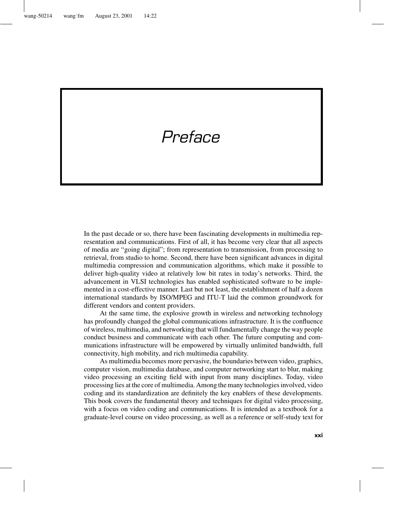# *Preface*

In the past decade or so, there have been fascinating developments in multimedia representation and communications. First of all, it has become very clear that all aspects of media are "going digital"; from representation to transmission, from processing to retrieval, from studio to home. Second, there have been significant advances in digital multimedia compression and communication algorithms, which make it possible to deliver high-quality video at relatively low bit rates in today's networks. Third, the advancement in VLSI technologies has enabled sophisticated software to be implemented in a cost-effective manner. Last but not least, the establishment of half a dozen international standards by ISO/MPEG and ITU-T laid the common groundwork for different vendors and content providers.

At the same time, the explosive growth in wireless and networking technology has profoundly changed the global communications infrastructure. It is the confluence of wireless, multimedia, and networking that will fundamentally change the way people conduct business and communicate with each other. The future computing and communications infrastructure will be empowered by virtually unlimited bandwidth, full connectivity, high mobility, and rich multimedia capability.

As multimedia becomes more pervasive, the boundaries between video, graphics, computer vision, multimedia database, and computer networking start to blur, making video processing an exciting field with input from many disciplines. Today, video processing lies at the core of multimedia. Among the many technologies involved, video coding and its standardization are definitely the key enablers of these developments. This book covers the fundamental theory and techniques for digital video processing, with a focus on video coding and communications. It is intended as a textbook for a graduate-level course on video processing, as well as a reference or self-study text for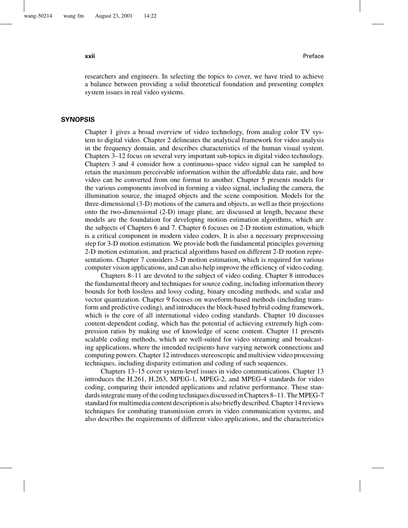researchers and engineers. In selecting the topics to cover, we have tried to achieve a balance between providing a solid theoretical foundation and presenting complex system issues in real video systems.

#### **SYNOPSIS**

Chapter 1 gives a broad overview of video technology, from analog color TV system to digital video. Chapter 2 delineates the analytical framework for video analysis in the frequency domain, and describes characteristics of the human visual system. Chapters 3–12 focus on several very important sub-topics in digital video technology. Chapters 3 and 4 consider how a continuous-space video signal can be sampled to retain the maximum perceivable information within the affordable data rate, and how video can be converted from one format to another. Chapter 5 presents models for the various components involved in forming a video signal, including the camera, the illumination source, the imaged objects and the scene composition. Models for the three-dimensional (3-D) motions of the camera and objects, as well as their projections onto the two-dimensional (2-D) image plane, are discussed at length, because these models are the foundation for developing motion estimation algorithms, which are the subjects of Chapters 6 and 7. Chapter 6 focuses on 2-D motion estimation, which is a critical component in modern video coders. It is also a necessary preprocessing step for 3-D motion estimation. We provide both the fundamental principles governing 2-D motion estimation, and practical algorithms based on different 2-D motion representations. Chapter 7 considers 3-D motion estimation, which is required for various computer vision applications, and can also help improve the efficiency of video coding.

Chapters 8–11 are devoted to the subject of video coding. Chapter 8 introduces the fundamental theory and techniques for source coding, including information theory bounds for both lossless and lossy coding, binary encoding methods, and scalar and vector quantization. Chapter 9 focuses on waveform-based methods (including transform and predictive coding), and introduces the block-based hybrid coding framework, which is the core of all international video coding standards. Chapter 10 discusses content-dependent coding, which has the potential of achieving extremely high compression ratios by making use of knowledge of scene content. Chapter 11 presents scalable coding methods, which are well-suited for video streaming and broadcasting applications, where the intended recipients have varying network connections and computing powers. Chapter 12 introduces stereoscopic and multiview video processing techniques, including disparity estimation and coding of such sequences.

Chapters 13–15 cover system-level issues in video communications. Chapter 13 introduces the H.261, H.263, MPEG-1, MPEG-2, and MPEG-4 standards for video coding, comparing their intended applications and relative performance. These standards integrate many of the coding techniques discussed in Chapters 8–11. The MPEG-7 standard for multimedia content description is also briefly described. Chapter 14 reviews techniques for combating transmission errors in video communication systems, and also describes the requirements of different video applications, and the characteristics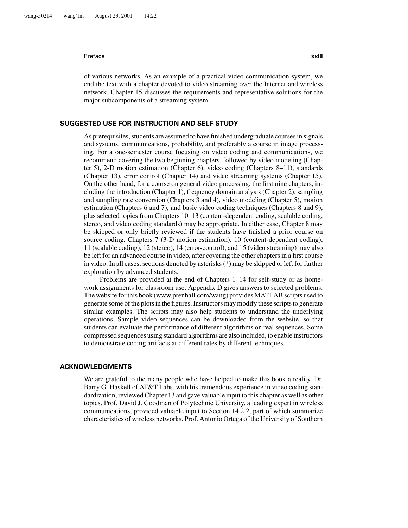#### Preface **xxiii**

of various networks. As an example of a practical video communication system, we end the text with a chapter devoted to video streaming over the Internet and wireless network. Chapter 15 discusses the requirements and representative solutions for the major subcomponents of a streaming system.

## **SUGGESTED USE FOR INSTRUCTION AND SELF-STUDY**

As prerequisites, students are assumed to have finished undergraduate courses in signals and systems, communications, probability, and preferably a course in image processing. For a one-semester course focusing on video coding and communications, we recommend covering the two beginning chapters, followed by video modeling (Chapter 5), 2-D motion estimation (Chapter 6), video coding (Chapters 8–11), standards (Chapter 13), error control (Chapter 14) and video streaming systems (Chapter 15). On the other hand, for a course on general video processing, the first nine chapters, including the introduction (Chapter 1), frequency domain analysis (Chapter 2), sampling and sampling rate conversion (Chapters 3 and 4), video modeling (Chapter 5), motion estimation (Chapters 6 and 7), and basic video coding techniques (Chapters 8 and 9), plus selected topics from Chapters 10–13 (content-dependent coding, scalable coding, stereo, and video coding standards) may be appropriate. In either case, Chapter 8 may be skipped or only briefly reviewed if the students have finished a prior course on source coding. Chapters 7 (3-D motion estimation), 10 (content-dependent coding), 11 (scalable coding), 12 (stereo), 14 (error-control), and 15 (video streaming) may also be left for an advanced course in video, after covering the other chapters in a first course in video. In all cases, sections denoted by asterisks (\*) may be skipped or left for further exploration by advanced students.

Problems are provided at the end of Chapters 1–14 for self-study or as homework assignments for classroom use. Appendix D gives answers to selected problems. The website for this book (www.prenhall.com/wang) provides MATLAB scripts used to generate some of the plots in the figures. Instructors may modify these scripts to generate similar examples. The scripts may also help students to understand the underlying operations. Sample video sequences can be downloaded from the website, so that students can evaluate the performance of different algorithms on real sequences. Some compressed sequences using standard algorithms are also included, to enable instructors to demonstrate coding artifacts at different rates by different techniques.

## **ACKNOWLEDGMENTS**

We are grateful to the many people who have helped to make this book a reality. Dr. Barry G. Haskell of AT&T Labs, with his tremendous experience in video coding standardization, reviewed Chapter 13 and gave valuable input to this chapter as well as other topics. Prof. David J. Goodman of Polytechnic University, a leading expert in wireless communications, provided valuable input to Section 14.2.2, part of which summarize characteristics of wireless networks. Prof. Antonio Ortega of the University of Southern